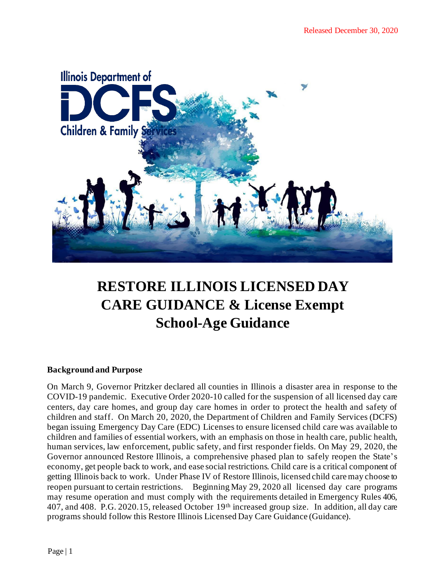

# **RESTORE ILLINOIS LICENSED DAY CARE GUIDANCE & License Exempt School-Age Guidance**

## **Background and Purpose**

On March 9, Governor Pritzker declared all counties in Illinois a disaster area in response to the COVID-19 pandemic. Executive Order 2020-10 called for the suspension of all licensed day care centers, day care homes, and group day care homes in order to protect the health and safety of children and staff. On March 20, 2020, the Department of Children and Family Services (DCFS) began issuing Emergency Day Care (EDC) Licenses to ensure licensed child care was available to children and families of essential workers, with an emphasis on those in health care, public health, human services, law enforcement, public safety, and first responder fields. On May 29, 2020, the Governor announced Restore Illinois, a comprehensive phased plan to safely reopen the State's economy, get people back to work, and ease social restrictions. Child care is a critical component of getting Illinois back to work. Under Phase IV of Restore Illinois, licensed child care may choose to reopen pursuant to certain restrictions. Beginning May 29, 2020 all licensed day care programs may resume operation and must comply with the requirements detailed in Emergency Rules 406, 407, and 408. P.G. 2020.15, released October 19th increased group size. In addition, all day care programs should follow this Restore Illinois Licensed Day Care Guidance (Guidance).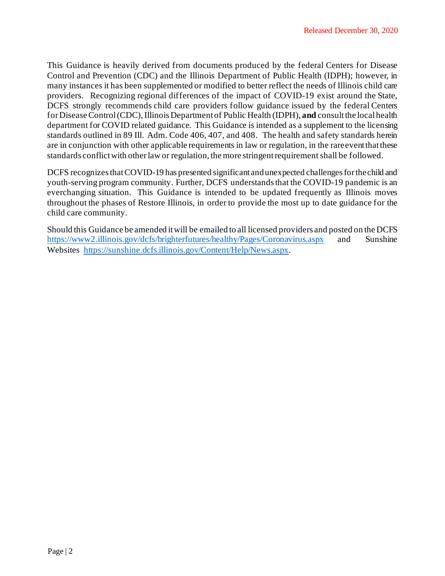This Guidance is heavily derived from documents produced by the federal Centers for Disease Control and Prevention (CDC) and the Illinois Department of Public Health (IDPH); however, in many instances it has been supplemented or modified to better reflect the needs of Illinois child care providers. Recognizing regional differences of the impact of COVID-19 exist around the State, DCFS strongly recommends child care providers follow guidance issued by the federal Centers for Disease Control (CDC), Illinois Department of Public Health (IDPH), and consult the local health department for COVID related guidance. This Guidance is intended as a supplement to the licensing standards outlined in 89 Ill. Adm. Code 406, 407, and 408. The health and safety standards herein are in conjunction with other applicable requirements in law or regulation, in the rareeventthatthese standards conflict with other law or regulation, the more stringent requirement shall be followed.

DCFS recognizesthatCOVID-19 has presented significant andunexpected challengesforthechild and youth-serving program community. Further, DCFS understands that the COVID-19 pandemic is an everchanging situation. This Guidance is intended to be updated frequently as Illinois moves throughout the phases of Restore Illinois, in order to provide the most up to date guidance for the child care community.

Should this Guidance be amended itwill be emailed to all licensed providers and posted on the DCFS https://www2.illinois.gov/dcfs/brighterfutures/healthy/Pages/Coronavirus.aspx and Sunshine Websites https://sunshine.dcfs.illinois.gov/Content/Help/News.aspx.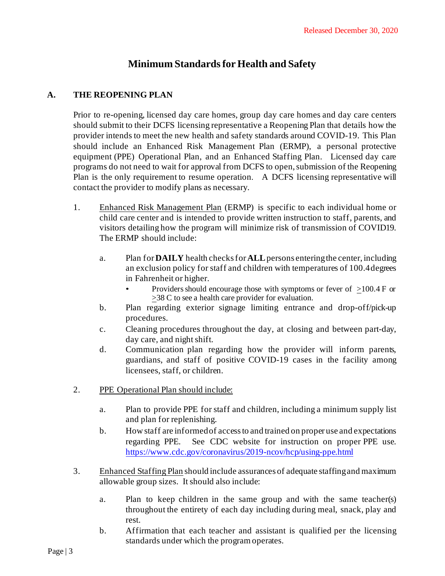# **Minimum Standardsfor Health and Safety**

# **A. THE REOPENING PLAN**

Prior to re-opening, licensed day care homes, group day care homes and day care centers should submit to their DCFS licensing representative a Reopening Plan that details how the provider intends to meet the new health and safety standards around COVID-19. This Plan should include an Enhanced Risk Management Plan (ERMP), a personal protective equipment (PPE) Operational Plan, and an Enhanced Staffing Plan. Licensed day care programs do not need to wait for approval from DCFS to open, submission of the Reopening Plan is the only requirement to resume operation. A DCFS licensing representative will contact the provider to modify plans as necessary.

- 1. Enhanced Risk Management Plan (ERMP) is specific to each individual home or child care center and is intended to provide written instruction to staff, parents, and visitors detailing how the program will minimize risk of transmission of COVID19. The ERMP should include:
	- a. Plan for**DAILY** health checksfor **ALL**persons enteringthe center, including an exclusion policy for staff and children with temperatures of 100.4 degrees in Fahrenheit or higher.
		- Providers should encourage those with symptoms or fever of  $>100.4$  F or >38 C to see a health care provider for evaluation.
	- b. Plan regarding exterior signage limiting entrance and drop-off/pick-up procedures.
	- c. Cleaning procedures throughout the day, at closing and between part-day, day care, and night shift.
	- d. Communication plan regarding how the provider will inform parents, guardians, and staff of positive COVID-19 cases in the facility among licensees, staff, or children.
- 2. PPE Operational Plan should include:
	- a. Plan to provide PPE for staff and children, including a minimum supply list and plan for replenishing.
	- b. How staff are informed of access to and trained on proper use and expectations regarding PPE. See CDC website for instruction on proper PPE use. https:[//www.cdc.gov/coronavirus/2019-ncov/hcp/using-ppe.html](http://www.cdc.gov/coronavirus/2019-ncov/hcp/using-ppe.html)
- 3. Enhanced Staffing Plan should include assurances of adequate staffing and maximum allowable group sizes. It should also include:
	- a. Plan to keep children in the same group and with the same teacher(s) throughout the entirety of each day including during meal, snack, play and rest.
	- b. Affirmation that each teacher and assistant is qualified per the licensing standards under which the program operates.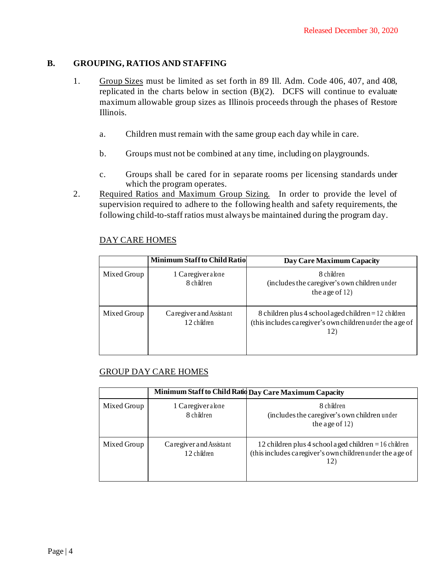## **B. GROUPING, RATIOS AND STAFFING**

- 1. Group Sizes must be limited as set forth in 89 Ill. Adm. Code 406, 407, and 408, replicated in the charts below in section (B)(2). DCFS will continue to evaluate maximum allowable group sizes as Illinois proceeds through the phases of Restore Illinois.
	- a. Children must remain with the same group each day while in care.
	- b. Groups must not be combined at any time, including on playgrounds.
	- c. Groups shall be cared for in separate rooms per licensing standards under which the program operates.
- 2. Required Ratios and Maximum Group Sizing. In order to provide the level of supervision required to adhere to the following health and safety requirements, the following child-to-staff ratios must always be maintained during the program day.

|             | <b>Minimum Staff to Child Ratio</b>    | Day Care Maximum Capacity                                                                                               |
|-------------|----------------------------------------|-------------------------------------------------------------------------------------------------------------------------|
| Mixed Group | 1 Caregiver alone<br>8 children        | 8 children<br>(includes the caregiver's own children under<br>the age of $12$ )                                         |
| Mixed Group | Caregiver and Assistant<br>12 children | 8 children plus 4 school aged children = 12 children<br>(this includes caregiver's own children under the age of<br>12) |

## DAY CARE HOMES

## GROUP DAY CARE HOMES

|             |                                        | Minimum Staff to Child Ratid Day Care Maximum Capacity                                                                      |
|-------------|----------------------------------------|-----------------------------------------------------------------------------------------------------------------------------|
| Mixed Group | 1 Caregiver alone<br>8 children        | 8 children<br>(includes the caregiver's own children under<br>the age of $12$ )                                             |
| Mixed Group | Caregiver and Assistant<br>12 children | 12 children plus 4 school a ged children $= 16$ children<br>(this includes caregiver's own children under the age of<br>12) |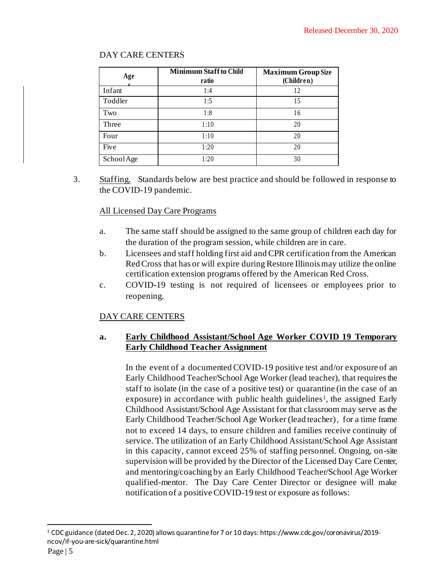| Age        | <b>Minimum Staff to Child</b><br>ratio | <b>Maximum Group Size</b><br>(Children) |
|------------|----------------------------------------|-----------------------------------------|
| Infant     | 1:4                                    | 12                                      |
| Toddler    | 1:5                                    | 15                                      |
| Two        | 1:8                                    | 16                                      |
| Three      | 1:10                                   | 20                                      |
| Four       | 1:10                                   | 20                                      |
| Five       | 1:20                                   | 20                                      |
| School Age | 1:20                                   | 30                                      |

# DAY CARE CENTERS

3. Staffing. Standards below are best practice and should be followed in response to the COVID-19 pandemic.

#### All Licensed Day Care Programs

- a. The same staff should be assigned to the same group of children each day for the duration of the program session, while children are in care.
- b. Licensees and staff holding first aid and CPR certification from the American RedCross that has or will expire during Restore Illinoismay utilize the online certification extension programs offered by the American Red Cross.
- c. COVID-19 testing is not required of licensees or employees prior to reopening.

## DAY CARE CENTERS

# **a. Early Childhood Assistant/School Age Worker COVID 19 Temporary Early Childhood Teacher Assignment**

In the event of a documented COVID-19 positive test and/or exposure of an Early Childhood Teacher/School Age Worker (lead teacher), that requires the staff to isolate (in the case of a positive test) or quarantine (in the case of an exposure) in accordance with public health guidelines<sup>1</sup>, the assigned Early Childhood Assistant/School Age Assistant for that classroom may serve as the Early Childhood Teacher/School Age Worker (lead teacher), for a time frame not to exceed 14 days, to ensure children and families receive continuity of service. The utilization of an Early Childhood Assistant/School Age Assistant in this capacity, cannot exceed 25% of staffing personnel. Ongoing, on-site supervision will be provided by the Director of the Licensed Day Care Center, and mentoring/coaching by an Early Childhood Teacher/School Age Worker qualified-mentor. The Day Care Center Director or designee will make notification of a positive COVID-19 test or exposure as follows:

<sup>1</sup> CDC guidance (dated Dec. 2, 2020) allows quarantine for 7 or 10 days: https://www.cdc.gov/coronavirus/2019 ncov/if-you-are-sick/quarantine.html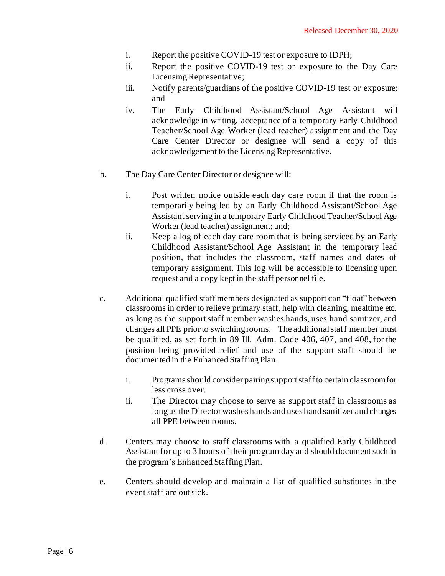- i. Report the positive COVID-19 test or exposure to IDPH;
- ii. Report the positive COVID-19 test or exposure to the Day Care Licensing Representative;
- iii. Notify parents/guardians of the positive COVID-19 test or exposure; and
- iv. The Early Childhood Assistant/School Age Assistant will acknowledge in writing, acceptance of a temporary Early Childhood Teacher/School Age Worker (lead teacher) assignment and the Day Care Center Director or designee will send a copy of this acknowledgement to the Licensing Representative.
- b. The Day Care Center Director or designee will:
	- i. Post written notice outside each day care room if that the room is temporarily being led by an Early Childhood Assistant/School Age Assistant serving in a temporary Early Childhood Teacher/School Age Worker (lead teacher) assignment; and;
	- ii. Keep a log of each day care room that is being serviced by an Early Childhood Assistant/School Age Assistant in the temporary lead position, that includes the classroom, staff names and dates of temporary assignment. This log will be accessible to licensing upon request and a copy kept in the staff personnel file.
- c. Additional qualified staff members designated as support can "float" between classrooms in order to relieve primary staff, help with cleaning, mealtime etc. as long as the support staff member washes hands, uses hand sanitizer, and changes all PPE priorto switchingrooms. The additionalstaff member must be qualified, as set forth in 89 Ill. Adm. Code 406, 407, and 408, for the position being provided relief and use of the support staff should be documented in the Enhanced Staffing Plan.
	- i. Programs should consider pairingsupport staffto certain classroom for less cross over.
	- ii. The Director may choose to serve as support staff in classrooms as long as the Director washes hands and uses hand sanitizer and changes all PPE between rooms.
- d. Centers may choose to staff classrooms with a qualified Early Childhood Assistant for up to 3 hours of their program day and should document such in the program's Enhanced Staffing Plan.
- e. Centers should develop and maintain a list of qualified substitutes in the event staff are out sick.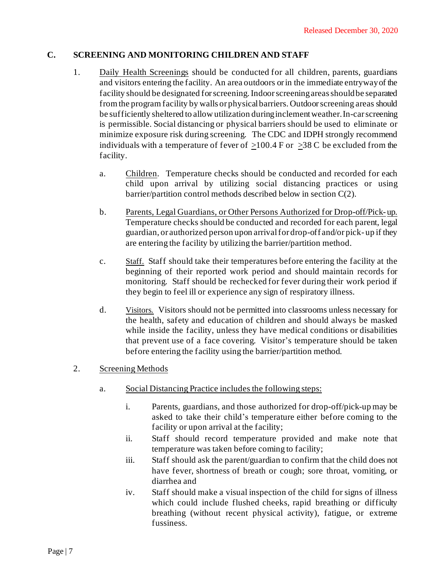## **C. SCREENING AND MONITORING CHILDREN AND STAFF**

- 1. Daily Health Screenings should be conducted for all children, parents, guardians and visitors entering the facility. An area outdoors orin the immediate entrywayof the facility should be designated forscreening.Indoorscreeningareasshouldbe separated fromthe program facility by walls or physicalbarriers. Outdoorscreening areas should be sufficiently sheltered to allow utilization duringinclementweather. In-carscreening is permissible. Social distancing or physical barriers should be used to eliminate or minimize exposure risk during screening. The CDC and IDPH strongly recommend individuals with a temperature of fever of  $>100.4$  F or  $>38$  C be excluded from the facility.
	- a. Children. Temperature checks should be conducted and recorded for each child upon arrival by utilizing social distancing practices or using barrier/partition control methods described below in section C(2).
	- b. Parents, Legal Guardians, or Other Persons Authorized for Drop-off/Pick- up. Temperature checks should be conducted and recorded for each parent, legal guardian, or authorized person upon arrivalfor drop-off and/or pick- up if they are entering the facility by utilizing the barrier/partition method.
	- c. Staff. Staff should take their temperatures before entering the facility at the beginning of their reported work period and should maintain records for monitoring. Staff should be rechecked for fever during their work period if they begin to feel ill or experience any sign of respiratory illness.
	- d. Visitors. Visitors should not be permitted into classrooms unless necessary for the health, safety and education of children and should always be masked while inside the facility, unless they have medical conditions or disabilities that prevent use of a face covering. Visitor's temperature should be taken before entering the facility using the barrier/partition method.

## 2. Screening Methods

- a. Social Distancing Practice includes the following steps:
	- i. Parents, guardians, and those authorized for drop-off/pick-up may be asked to take their child's temperature either before coming to the facility or upon arrival at the facility;
	- ii. Staff should record temperature provided and make note that temperature was taken before coming to facility;
	- iii. Staff should ask the parent/guardian to confirm that the child does not have fever, shortness of breath or cough; sore throat, vomiting, or diarrhea and
	- iv. Staff should make a visual inspection of the child for signs of illness which could include flushed cheeks, rapid breathing or difficulty breathing (without recent physical activity), fatigue, or extreme fussiness.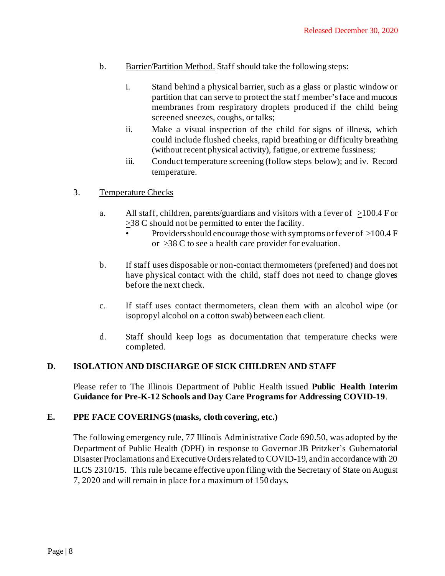- b. Barrier/Partition Method. Staff should take the following steps:
	- i. Stand behind a physical barrier, such as a glass or plastic window or partition that can serve to protect the staff member'sface and mucous membranes from respiratory droplets produced if the child being screened sneezes, coughs, or talks;
	- ii. Make a visual inspection of the child for signs of illness, which could include flushed cheeks, rapid breathing or difficulty breathing (without recent physical activity), fatigue, or extreme fussiness;
	- iii. Conduct temperature screening (follow steps below); and iv. Record temperature.

#### 3. Temperature Checks

- a. All staff, children, parents/guardians and visitors with a fever of  $>100.4$  F or >38 C should not be permitted to enter the facility.
	- Providers should encourage those with symptoms or fever of  $>100.4$  F or  $\geq$ 38 C to see a health care provider for evaluation.
- b. If staff uses disposable or non-contact thermometers (preferred) and does not have physical contact with the child, staff does not need to change gloves before the next check.
- c. If staff uses contact thermometers, clean them with an alcohol wipe (or isopropyl alcohol on a cotton swab) between each client.
- d. Staff should keep logs as documentation that temperature checks were completed.

#### **D. ISOLATION AND DISCHARGE OF SICK CHILDREN AND STAFF**

Please refer to The Illinois Department of Public Health issued **Public Health Interim Guidance for Pre-K-12 Schools and Day Care Programs for Addressing COVID-19**.

#### **E. PPE FACE COVERINGS (masks, cloth covering, etc.)**

The following emergency rule, 77 Illinois Administrative Code 690.50, was adopted by the Department of Public Health (DPH) in response to Governor JB Pritzker's Gubernatorial Disaster Proclamations and Executive Orders related to COVID-19, and in accordance with 20 ILCS 2310/15. This rule became effective upon filing with the Secretary of State on August 7, 2020 and will remain in place for a maximum of 150 days.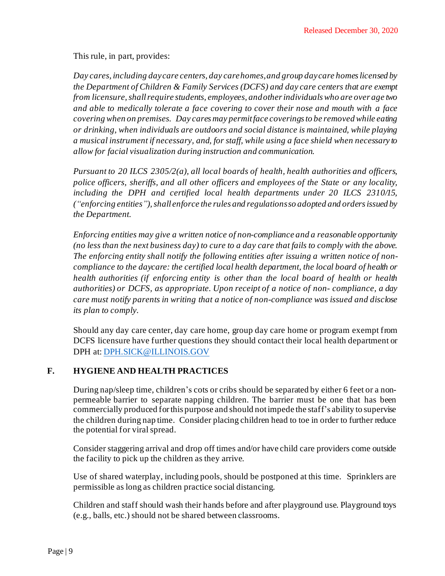This rule, in part, provides:

*Day cares, including daycare centers, day carehomes,and group daycare homeslicensed by the Department of Children & Family Services (DCFS) and day care centers that are exempt from licensure, shallrequire students, employees, andother individualswho are over age two and able to medically tolerate a face covering to cover their nose and mouth with a face covering when on premises. Day caresmay permitface coveringsto be removedwhile eating or drinking, when individuals are outdoors and social distance is maintained, while playing a musical instrument if necessary, and, for staff, while using a face shield when necessary to allow for facial visualization during instruction and communication.*

*Pursuant to 20 ILCS 2305/2(a), all local boards of health, health authorities and officers, police officers, sheriffs, and all other officers and employees of the State or any locality, including the DPH and certified local health departments under 20 ILCS 2310/15, ("enforcing entities"),shall enforce the rules and regulationsso adopted and ordersissued by the Department.*

*Enforcing entities may give a written notice of non-compliance and a reasonable opportunity (no less than the next business day) to cure to a day care that fails to comply with the above. The enforcing entity shall notify the following entities after issuing a written notice of noncompliance to the daycare: the certified local health department, the local board of health or health authorities (if enforcing entity is other than the local board of health or health authorities) or DCFS, as appropriate. Upon receipt of a notice of non- compliance, a day care must notify parents in writing that a notice of non-compliance was issued and disclose its plan to comply.*

Should any day care center, day care home, group day care home or program exempt from DCFS licensure have further questions they should contact their local health department or DPH at[: DPH.SICK@ILLINOIS.GOV](mailto:DPH.SICK@ILLINOIS.GOV)

## **F. HYGIENE AND HEALTH PRACTICES**

During nap/sleep time, children's cots or cribs should be separated by either 6 feet or a nonpermeable barrier to separate napping children. The barrier must be one that has been commercially produced forthis purpose and should notimpede the staff's ability to supervise the children during nap time. Consider placing children head to toe in order to further reduce the potential for viral spread.

Consider staggering arrival and drop off times and/or have child care providers come outside the facility to pick up the children as they arrive.

Use of shared waterplay, including pools, should be postponed at this time. Sprinklers are permissible as long as children practice social distancing.

Children and staff should wash their hands before and after playground use. Playground toys (e.g., balls, etc.) should not be shared between classrooms.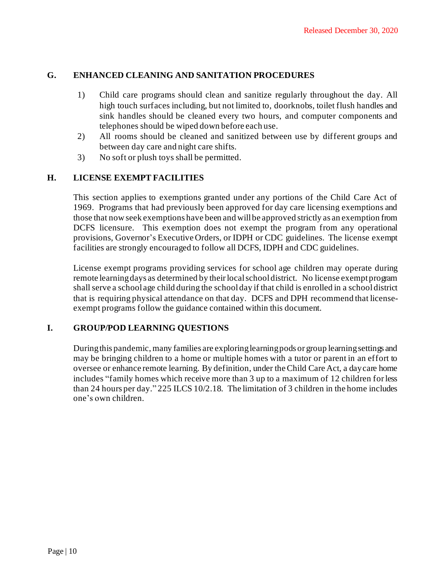## **G. ENHANCED CLEANING AND SANITATION PROCEDURES**

- 1) Child care programs should clean and sanitize regularly throughout the day. All high touch surfaces including, but not limited to, doorknobs, toilet flush handles and sink handles should be cleaned every two hours, and computer components and telephones should be wiped down before each use.
- 2) All rooms should be cleaned and sanitized between use by different groups and between day care and night care shifts.
- 3) No soft or plush toys shall be permitted.

#### **H. LICENSE EXEMPT FACILITIES**

This section applies to exemptions granted under any portions of the Child Care Act of 1969. Programs that had previously been approved for day care licensing exemptions and those that now seek exemptions have been and willbe approved strictly as an exemption from DCFS licensure. This exemption does not exempt the program from any operational provisions, Governor's Executive Orders, or IDPH or CDC guidelines. The license exempt facilities are strongly encouraged to follow all DCFS, IDPH and CDC guidelines.

License exempt programs providing services for school age children may operate during remote learning days as determined by their local school district. No license exempt program shallserve a school age child during the schoolday if that child is enrolled in a school district that is requiring physical attendance on that day. DCFS and DPH recommend that licenseexempt programs follow the guidance contained within this document.

## **I. GROUP/POD LEARNING QUESTIONS**

During this pandemic, many families are exploring learning pods or group learning settings and may be bringing children to a home or multiple homes with a tutor or parent in an effort to oversee or enhance remote learning. By definition, under theChild Care Act, a daycare home includes "family homes which receive more than 3 up to a maximum of 12 children forless than 24 hours per day." 225 ILCS 10/2.18. The limitation of 3 children in the home includes one's own children.